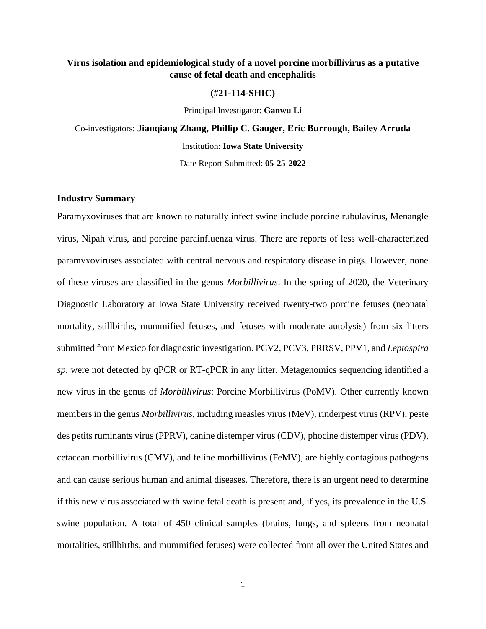# **Virus isolation and epidemiological study of a novel porcine morbillivirus as a putative cause of fetal death and encephalitis**

## **(#21-114-SHIC)**

Principal Investigator: **Ganwu Li**

Co-investigators: **Jianqiang Zhang, Phillip C. Gauger, Eric Burrough, Bailey Arruda** Institution: **Iowa State University** Date Report Submitted: **05-25-2022**

## **Industry Summary**

Paramyxoviruses that are known to naturally infect swine include porcine rubulavirus, Menangle virus, Nipah virus, and porcine parainfluenza virus. There are reports of less well-characterized paramyxoviruses associated with central nervous and respiratory disease in pigs. However, none of these viruses are classified in the genus *Morbillivirus*. In the spring of 2020, the Veterinary Diagnostic Laboratory at Iowa State University received twenty-two porcine fetuses (neonatal mortality, stillbirths, mummified fetuses, and fetuses with moderate autolysis) from six litters submitted from Mexico for diagnostic investigation. PCV2, PCV3, PRRSV, PPV1, and *Leptospira sp*. were not detected by qPCR or RT-qPCR in any litter. Metagenomics sequencing identified a new virus in the genus of *Morbillivirus*: Porcine Morbillivirus (PoMV). Other currently known members in the genus *Morbillivirus,* including measles virus (MeV), rinderpest virus (RPV), peste des petits ruminants virus (PPRV), canine distemper virus (CDV), phocine distemper virus (PDV), cetacean morbillivirus (CMV), and feline morbillivirus (FeMV), are highly contagious pathogens and can cause serious human and animal diseases. Therefore, there is an urgent need to determine if this new virus associated with swine fetal death is present and, if yes, its prevalence in the U.S. swine population. A total of 450 clinical samples (brains, lungs, and spleens from neonatal mortalities, stillbirths, and mummified fetuses) were collected from all over the United States and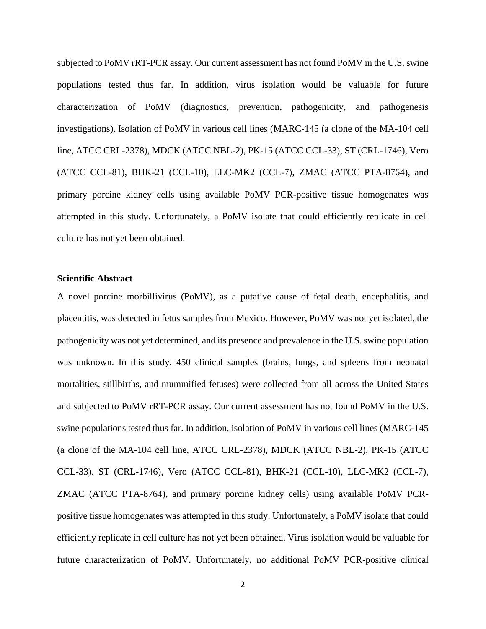subjected to PoMV rRT-PCR assay. Our current assessment has not found PoMV in the U.S. swine populations tested thus far. In addition, virus isolation would be valuable for future characterization of PoMV (diagnostics, prevention, pathogenicity, and pathogenesis investigations). Isolation of PoMV in various cell lines (MARC-145 (a clone of the MA-104 cell line, ATCC CRL-2378), MDCK (ATCC NBL-2), PK-15 (ATCC CCL-33), ST (CRL-1746), Vero (ATCC CCL-81), BHK-21 (CCL-10), LLC-MK2 (CCL-7), ZMAC (ATCC PTA-8764), and primary porcine kidney cells using available PoMV PCR-positive tissue homogenates was attempted in this study. Unfortunately, a PoMV isolate that could efficiently replicate in cell culture has not yet been obtained.

## **Scientific Abstract**

A novel porcine morbillivirus (PoMV), as a putative cause of fetal death, encephalitis, and placentitis, was detected in fetus samples from Mexico. However, PoMV was not yet isolated, the pathogenicity was not yet determined, and its presence and prevalence in the U.S. swine population was unknown. In this study, 450 clinical samples (brains, lungs, and spleens from neonatal mortalities, stillbirths, and mummified fetuses) were collected from all across the United States and subjected to PoMV rRT-PCR assay. Our current assessment has not found PoMV in the U.S. swine populations tested thus far. In addition, isolation of PoMV in various cell lines (MARC-145 (a clone of the MA-104 cell line, ATCC CRL-2378), MDCK (ATCC NBL-2), PK-15 (ATCC CCL-33), ST (CRL-1746), Vero (ATCC CCL-81), BHK-21 (CCL-10), LLC-MK2 (CCL-7), ZMAC (ATCC PTA-8764), and primary porcine kidney cells) using available PoMV PCRpositive tissue homogenates was attempted in this study. Unfortunately, a PoMV isolate that could efficiently replicate in cell culture has not yet been obtained. Virus isolation would be valuable for future characterization of PoMV. Unfortunately, no additional PoMV PCR-positive clinical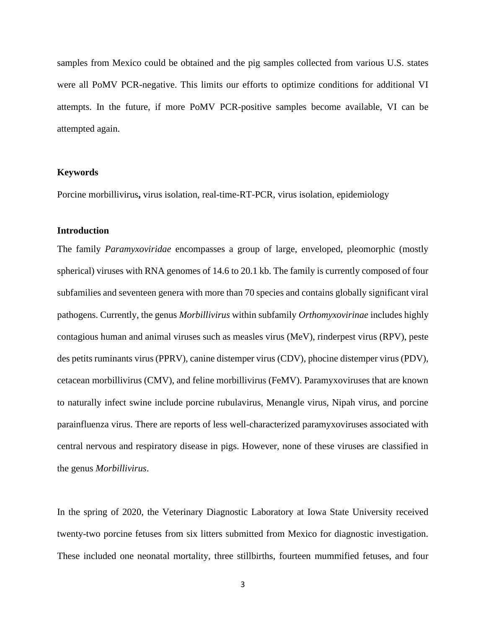samples from Mexico could be obtained and the pig samples collected from various U.S. states were all PoMV PCR-negative. This limits our efforts to optimize conditions for additional VI attempts. In the future, if more PoMV PCR-positive samples become available, VI can be attempted again.

## **Keywords**

Porcine morbillivirus**,** virus isolation, real-time-RT-PCR, virus isolation, epidemiology

## **Introduction**

The family *Paramyxoviridae* encompasses a group of large, enveloped, pleomorphic (mostly spherical) viruses with RNA genomes of 14.6 to 20.1 kb. The family is currently composed of four subfamilies and seventeen genera with more than 70 species and contains globally significant viral pathogens. Currently, the genus *Morbillivirus* within subfamily *Orthomyxovirinae* includes highly contagious human and animal viruses such as measles virus (MeV), rinderpest virus (RPV), peste des petits ruminants virus (PPRV), canine distemper virus (CDV), phocine distemper virus (PDV), cetacean morbillivirus (CMV), and feline morbillivirus (FeMV). Paramyxoviruses that are known to naturally infect swine include porcine rubulavirus, Menangle virus, Nipah virus, and porcine parainfluenza virus. There are reports of less well-characterized paramyxoviruses associated with central nervous and respiratory disease in pigs. However, none of these viruses are classified in the genus *Morbillivirus*.

In the spring of 2020, the Veterinary Diagnostic Laboratory at Iowa State University received twenty-two porcine fetuses from six litters submitted from Mexico for diagnostic investigation. These included one neonatal mortality, three stillbirths, fourteen mummified fetuses, and four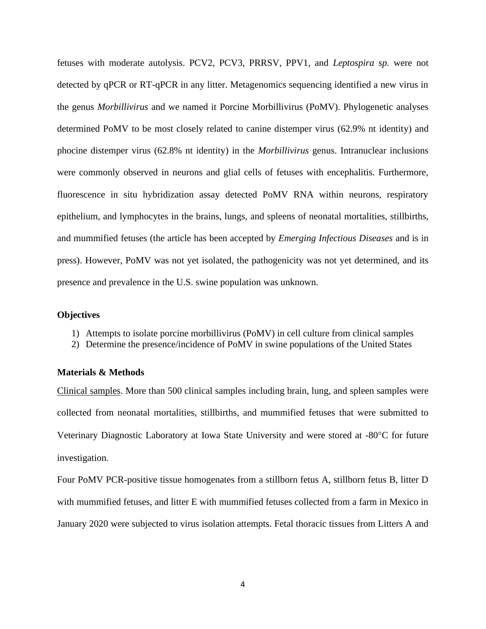fetuses with moderate autolysis. PCV2, PCV3, PRRSV, PPV1, and *Leptospira sp.* were not detected by qPCR or RT-qPCR in any litter. Metagenomics sequencing identified a new virus in the genus *Morbillivirus* and we named it Porcine Morbillivirus (PoMV). Phylogenetic analyses determined PoMV to be most closely related to canine distemper virus (62.9% nt identity) and phocine distemper virus (62.8% nt identity) in the *Morbillivirus* genus. Intranuclear inclusions were commonly observed in neurons and glial cells of fetuses with encephalitis. Furthermore, fluorescence in situ hybridization assay detected PoMV RNA within neurons, respiratory epithelium, and lymphocytes in the brains, lungs, and spleens of neonatal mortalities, stillbirths, and mummified fetuses (the article has been accepted by *Emerging Infectious Diseases* and is in press). However, PoMV was not yet isolated, the pathogenicity was not yet determined, and its presence and prevalence in the U.S. swine population was unknown.

## **Objectives**

- 1) Attempts to isolate porcine morbillivirus (PoMV) in cell culture from clinical samples
- 2) Determine the presence/incidence of PoMV in swine populations of the United States

## **Materials & Methods**

Clinical samples. More than 500 clinical samples including brain, lung, and spleen samples were collected from neonatal mortalities, stillbirths, and mummified fetuses that were submitted to Veterinary Diagnostic Laboratory at Iowa State University and were stored at -80°C for future investigation.

Four PoMV PCR-positive tissue homogenates from a stillborn fetus A, stillborn fetus B, litter D with mummified fetuses, and litter E with mummified fetuses collected from a farm in Mexico in January 2020 were subjected to virus isolation attempts. Fetal thoracic tissues from Litters A and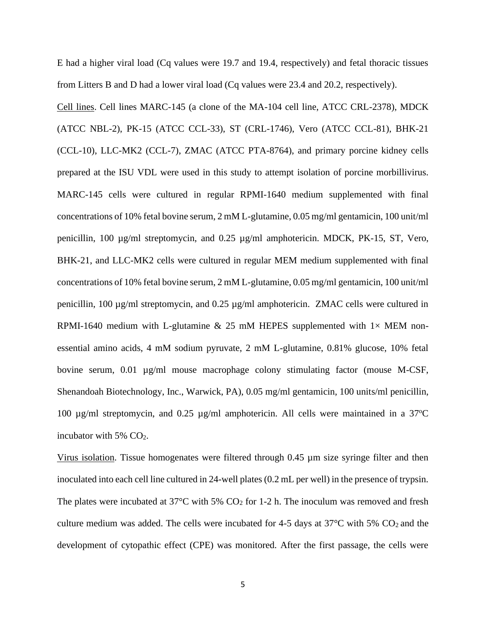E had a higher viral load (Cq values were 19.7 and 19.4, respectively) and fetal thoracic tissues from Litters B and D had a lower viral load (Cq values were 23.4 and 20.2, respectively).

Cell lines. Cell lines MARC-145 (a clone of the MA-104 cell line, ATCC CRL-2378), MDCK (ATCC NBL-2), PK-15 (ATCC CCL-33), ST (CRL-1746), Vero (ATCC CCL-81), BHK-21 (CCL-10), LLC-MK2 (CCL-7), ZMAC (ATCC PTA-8764), and primary porcine kidney cells prepared at the ISU VDL were used in this study to attempt isolation of porcine morbillivirus. MARC-145 cells were cultured in regular RPMI-1640 medium supplemented with final concentrations of 10% fetal bovine serum, 2 mM L-glutamine, 0.05 mg/ml gentamicin, 100 unit/ml penicillin, 100 µg/ml streptomycin, and 0.25 µg/ml amphotericin. MDCK, PK-15, ST, Vero, BHK-21, and LLC-MK2 cells were cultured in regular MEM medium supplemented with final concentrations of 10% fetal bovine serum, 2 mM L-glutamine, 0.05 mg/ml gentamicin, 100 unit/ml penicillin, 100 µg/ml streptomycin, and 0.25 µg/ml amphotericin. ZMAC cells were cultured in RPMI-1640 medium with L-glutamine  $& 25$  mM HEPES supplemented with  $1 \times$  MEM nonessential amino acids, 4 mM sodium pyruvate, 2 mM L-glutamine, 0.81% glucose, 10% fetal bovine serum, 0.01 µg/ml mouse macrophage colony stimulating factor (mouse M-CSF, Shenandoah Biotechnology, Inc., Warwick, PA), 0.05 mg/ml gentamicin, 100 units/ml penicillin, 100  $\mu$ g/ml streptomycin, and 0.25  $\mu$ g/ml amphotericin. All cells were maintained in a 37<sup>o</sup>C incubator with  $5\%$  CO<sub>2</sub>.

Virus isolation. Tissue homogenates were filtered through 0.45 µm size syringe filter and then inoculated into each cell line cultured in 24-well plates (0.2 mL per well) in the presence of trypsin. The plates were incubated at  $37^{\circ}$ C with 5% CO<sub>2</sub> for 1-2 h. The inoculum was removed and fresh culture medium was added. The cells were incubated for 4-5 days at  $37^{\circ}$ C with 5% CO<sub>2</sub> and the development of cytopathic effect (CPE) was monitored. After the first passage, the cells were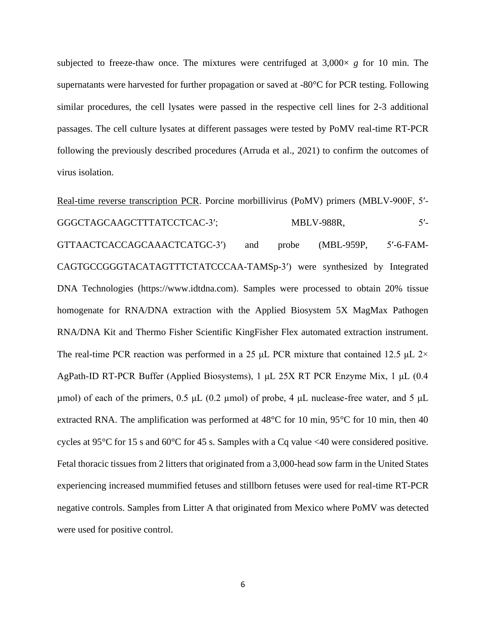subjected to freeze-thaw once. The mixtures were centrifuged at  $3,000 \times g$  for 10 min. The supernatants were harvested for further propagation or saved at -80°C for PCR testing. Following similar procedures, the cell lysates were passed in the respective cell lines for 2-3 additional passages. The cell culture lysates at different passages were tested by PoMV real-time RT-PCR following the previously described procedures (Arruda et al., 2021) to confirm the outcomes of virus isolation.

Real-time reverse transcription PCR. Porcine morbillivirus (PoMV) primers (MBLV-900F, 5′- GGGCTAGCAAGCTTTATCCTCAC-3'; MBLV-988R, 5'-GTTAACTCACCAGCAAACTCATGC-3′) and probe (MBL-959P, 5′-6-FAM-CAGTGCCGGGTACATAGTTTCTATCCCAA-TAMSp-3′) were synthesized by Integrated DNA Technologies (https://www.idtdna.com). Samples were processed to obtain 20% tissue homogenate for RNA/DNA extraction with the Applied Biosystem 5X MagMax Pathogen RNA/DNA Kit and Thermo Fisher Scientific KingFisher Flex automated extraction instrument. The real-time PCR reaction was performed in a 25 μL PCR mixture that contained 12.5 μL  $2 \times$ AgPath-ID RT-PCR Buffer (Applied Biosystems), 1 μL 25X RT PCR Enzyme Mix, 1 μL (0.4 μmol) of each of the primers,  $0.5 \mu L$  (0.2 μmol) of probe, 4 μL nuclease-free water, and 5 μL extracted RNA. The amplification was performed at 48°C for 10 min, 95°C for 10 min, then 40 cycles at 95°C for 15 s and 60°C for 45 s. Samples with a Cq value <40 were considered positive. Fetal thoracic tissues from 2 litters that originated from a 3,000-head sow farm in the United States experiencing increased mummified fetuses and stillborn fetuses were used for real-time RT-PCR negative controls. Samples from Litter A that originated from Mexico where PoMV was detected were used for positive control.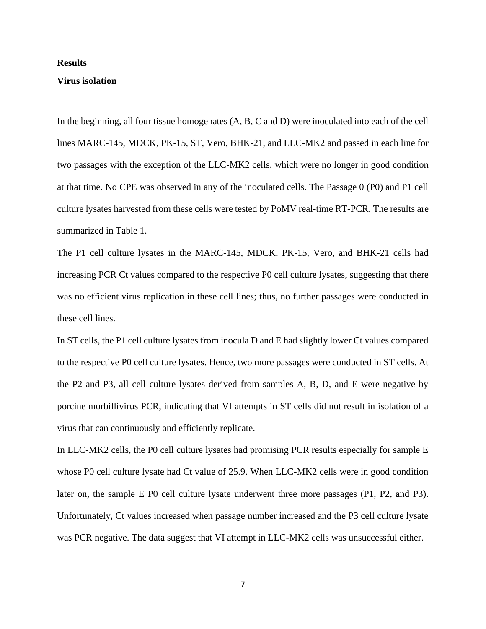### **Results**

### **Virus isolation**

In the beginning, all four tissue homogenates (A, B, C and D) were inoculated into each of the cell lines MARC-145, MDCK, PK-15, ST, Vero, BHK-21, and LLC-MK2 and passed in each line for two passages with the exception of the LLC-MK2 cells, which were no longer in good condition at that time. No CPE was observed in any of the inoculated cells. The Passage 0 (P0) and P1 cell culture lysates harvested from these cells were tested by PoMV real-time RT-PCR. The results are summarized in Table 1.

The P1 cell culture lysates in the MARC-145, MDCK, PK-15, Vero, and BHK-21 cells had increasing PCR Ct values compared to the respective P0 cell culture lysates, suggesting that there was no efficient virus replication in these cell lines; thus, no further passages were conducted in these cell lines.

In ST cells, the P1 cell culture lysates from inocula D and E had slightly lower Ct values compared to the respective P0 cell culture lysates. Hence, two more passages were conducted in ST cells. At the P2 and P3, all cell culture lysates derived from samples A, B, D, and E were negative by porcine morbillivirus PCR, indicating that VI attempts in ST cells did not result in isolation of a virus that can continuously and efficiently replicate.

In LLC-MK2 cells, the P0 cell culture lysates had promising PCR results especially for sample E whose P0 cell culture lysate had Ct value of 25.9. When LLC-MK2 cells were in good condition later on, the sample E P0 cell culture lysate underwent three more passages (P1, P2, and P3). Unfortunately, Ct values increased when passage number increased and the P3 cell culture lysate was PCR negative. The data suggest that VI attempt in LLC-MK2 cells was unsuccessful either.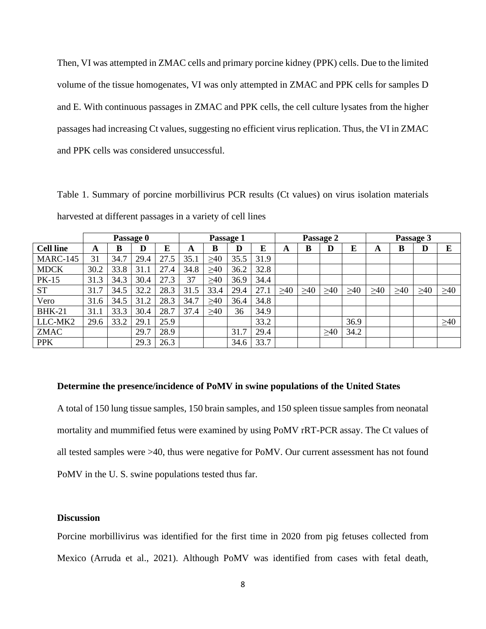Then, VI was attempted in ZMAC cells and primary porcine kidney (PPK) cells. Due to the limited volume of the tissue homogenates, VI was only attempted in ZMAC and PPK cells for samples D and E. With continuous passages in ZMAC and PPK cells, the cell culture lysates from the higher passages had increasing Ct values, suggesting no efficient virus replication. Thus, the VI in ZMAC and PPK cells was considered unsuccessful.

Table 1. Summary of porcine morbillivirus PCR results (Ct values) on virus isolation materials harvested at different passages in a variety of cell lines

|                  | Passage 0 |      |      |      | Passage 1 |           |      |      | Passage 2 |           |           |           | Passage 3 |           |           |           |
|------------------|-----------|------|------|------|-----------|-----------|------|------|-----------|-----------|-----------|-----------|-----------|-----------|-----------|-----------|
| <b>Cell line</b> | A         | в    | D    | E    | A         | B         | D    | E    | A         | B         | D         | E         | A         | B         | D         | E         |
| <b>MARC-145</b>  | 31        | 34.7 | 29.4 | 27.5 | 35.1      | $\geq 40$ | 35.5 | 31.9 |           |           |           |           |           |           |           |           |
| <b>MDCK</b>      | 30.2      | 33.8 | 31.1 | 27.4 | 34.8      | $\geq 40$ | 36.2 | 32.8 |           |           |           |           |           |           |           |           |
| <b>PK-15</b>     | 31.3      | 34.3 | 30.4 | 27.3 | 37        | >40       | 36.9 | 34.4 |           |           |           |           |           |           |           |           |
| <b>ST</b>        | 31.7      | 34.5 | 32.2 | 28.3 | 31.5      | 33.4      | 29.4 | 27.1 | $\geq 40$ | $\geq 40$ | $\geq 40$ | $\geq 40$ | $\geq 40$ | $\geq 40$ | $\geq 40$ | $\geq 40$ |
| Vero             | 31.6      | 34.5 | 31.2 | 28.3 | 34.7      | >40       | 36.4 | 34.8 |           |           |           |           |           |           |           |           |
| <b>BHK-21</b>    | 31.1      | 33.3 | 30.4 | 28.7 | 37.4      | >40       | 36   | 34.9 |           |           |           |           |           |           |           |           |
| LLC-MK2          | 29.6      | 33.2 | 29.1 | 25.9 |           |           |      | 33.2 |           |           |           | 36.9      |           |           |           | $\geq 40$ |
| <b>ZMAC</b>      |           |      | 29.7 | 28.9 |           |           | 31.7 | 29.4 |           |           | >40       | 34.2      |           |           |           |           |
| <b>PPK</b>       |           |      | 29.3 | 26.3 |           |           | 34.6 | 33.7 |           |           |           |           |           |           |           |           |

### **Determine the presence/incidence of PoMV in swine populations of the United States**

A total of 150 lung tissue samples, 150 brain samples, and 150 spleen tissue samples from neonatal mortality and mummified fetus were examined by using PoMV rRT-PCR assay. The Ct values of all tested samples were >40, thus were negative for PoMV. Our current assessment has not found PoMV in the U. S. swine populations tested thus far.

### **Discussion**

Porcine morbillivirus was identified for the first time in 2020 from pig fetuses collected from Mexico (Arruda et al., 2021). Although PoMV was identified from cases with fetal death,